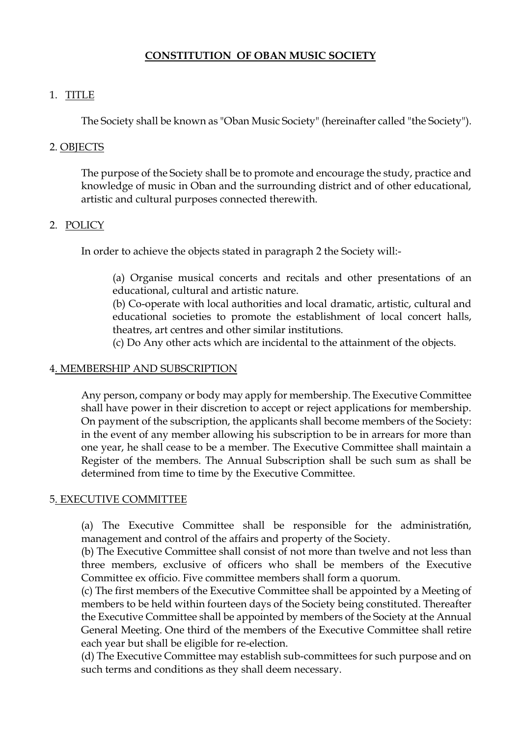## **CONSTITUTION OF OBAN MUSIC SOCIETY**

### 1. TITLE

The Society shall be known as "Oban Music Society" (hereinafter called "the Society").

## 2. OBJECTS

The purpose of the Society shall be to promote and encourage the study, practice and knowledge of music in Oban and the surrounding district and of other educational, artistic and cultural purposes connected therewith.

### 2. POLICY

In order to achieve the objects stated in paragraph 2 the Society will:-

(a) Organise musical concerts and recitals and other presentations of an educational, cultural and artistic nature.

(b) Co-operate with local authorities and local dramatic, artistic, cultural and educational societies to promote the establishment of local concert halls, theatres, art centres and other similar institutions.

(c) Do Any other acts which are incidental to the attainment of the objects.

### 4. MEMBERSHIP AND SUBSCRIPTION

Any person, company or body may apply for membership. The Executive Committee shall have power in their discretion to accept or reject applications for membership. On payment of the subscription, the applicants shall become members of the Society: in the event of any member allowing his subscription to be in arrears for more than one year, he shall cease to be a member. The Executive Committee shall maintain a Register of the members. The Annual Subscription shall be such sum as shall be determined from time to time by the Executive Committee.

#### 5. EXECUTIVE COMMITTEE

(a) The Executive Committee shall be responsible for the administrati6n, management and control of the affairs and property of the Society.

(b) The Executive Committee shall consist of not more than twelve and not less than three members, exclusive of officers who shall be members of the Executive Committee ex officio. Five committee members shall form a quorum.

(c) The first members of the Executive Committee shall be appointed by a Meeting of members to be held within fourteen days of the Society being constituted. Thereafter the Executive Committee shall be appointed by members of the Society at the Annual General Meeting. One third of the members of the Executive Committee shall retire each year but shall be eligible for re-election.

(d) The Executive Committee may establish sub-committees for such purpose and on such terms and conditions as they shall deem necessary.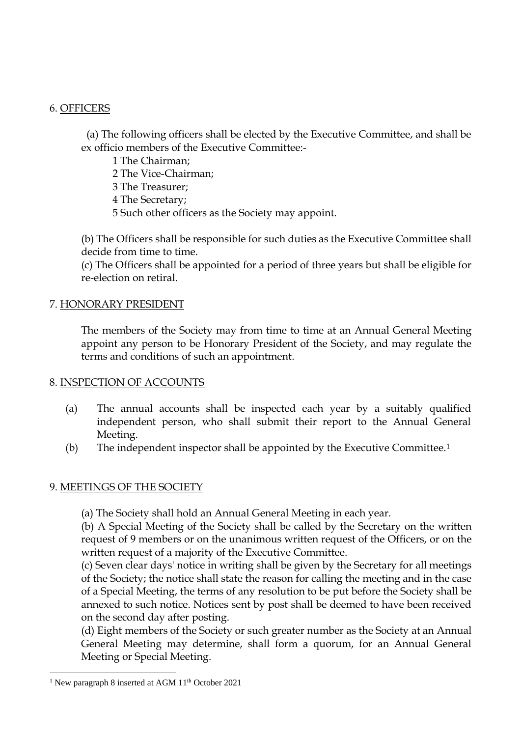### 6. OFFICERS

 (a) The following officers shall be elected by the Executive Committee, and shall be ex officio members of the Executive Committee:-

- 1 The Chairman;
- 2 The Vice-Chairman;
- 3 The Treasurer;
- 4 The Secretary;
- 5 Such other officers as the Society may appoint.

(b) The Officers shall be responsible for such duties as the Executive Committee shall decide from time to time.

(c) The Officers shall be appointed for a period of three years but shall be eligible for re-election on retiral.

# 7. HONORARY PRESIDENT

The members of the Society may from time to time at an Annual General Meeting appoint any person to be Honorary President of the Society, and may regulate the terms and conditions of such an appointment.

# 8. INSPECTION OF ACCOUNTS

- (a) The annual accounts shall be inspected each year by a suitably qualified independent person, who shall submit their report to the Annual General Meeting.
- (b) The independent inspector shall be appointed by the Executive Committee.<sup>1</sup>

# 9. MEETINGS OF THE SOCIETY

(a) The Society shall hold an Annual General Meeting in each year.

(b) A Special Meeting of the Society shall be called by the Secretary on the written request of 9 members or on the unanimous written request of the Officers, or on the written request of a majority of the Executive Committee.

(c) Seven clear days' notice in writing shall be given by the Secretary for all meetings of the Society; the notice shall state the reason for calling the meeting and in the case of a Special Meeting, the terms of any resolution to be put before the Society shall be annexed to such notice. Notices sent by post shall be deemed to have been received on the second day after posting.

(d) Eight members of the Society or such greater number as the Society at an Annual General Meeting may determine, shall form a quorum, for an Annual General Meeting or Special Meeting.

<sup>&</sup>lt;sup>1</sup> New paragraph 8 inserted at AGM  $11<sup>th</sup>$  October 2021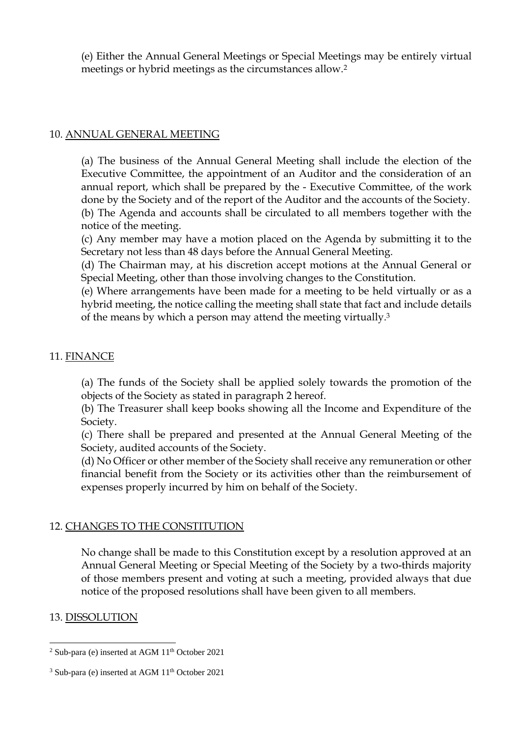(e) Either the Annual General Meetings or Special Meetings may be entirely virtual meetings or hybrid meetings as the circumstances allow.<sup>2</sup>

#### 10. ANNUAL GENERAL MEETING

(a) The business of the Annual General Meeting shall include the election of the Executive Committee, the appointment of an Auditor and the consideration of an annual report, which shall be prepared by the - Executive Committee, of the work done by the Society and of the report of the Auditor and the accounts of the Society. (b) The Agenda and accounts shall be circulated to all members together with the notice of the meeting.

(c) Any member may have a motion placed on the Agenda by submitting it to the Secretary not less than 48 days before the Annual General Meeting.

(d) The Chairman may, at his discretion accept motions at the Annual General or Special Meeting, other than those involving changes to the Constitution.

(e) Where arrangements have been made for a meeting to be held virtually or as a hybrid meeting, the notice calling the meeting shall state that fact and include details of the means by which a person may attend the meeting virtually.<sup>3</sup>

# 11. FINANCE

(a) The funds of the Society shall be applied solely towards the promotion of the objects of the Society as stated in paragraph 2 hereof.

(b) The Treasurer shall keep books showing all the Income and Expenditure of the Society.

(c) There shall be prepared and presented at the Annual General Meeting of the Society, audited accounts of the Society.

(d) No Officer or other member of the Society shall receive any remuneration or other financial benefit from the Society or its activities other than the reimbursement of expenses properly incurred by him on behalf of the Society.

#### 12. CHANGES TO THE CONSTITUTION

No change shall be made to this Constitution except by a resolution approved at an Annual General Meeting or Special Meeting of the Society by a two-thirds majority of those members present and voting at such a meeting, provided always that due notice of the proposed resolutions shall have been given to all members.

#### 13. DISSOLUTION

 $2$  Sub-para (e) inserted at AGM  $11<sup>th</sup>$  October 2021

 $3$  Sub-para (e) inserted at AGM  $11<sup>th</sup>$  October 2021